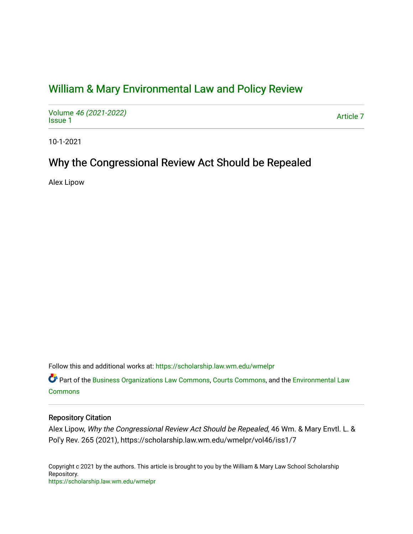# [William & Mary Environmental Law and Policy Review](https://scholarship.law.wm.edu/wmelpr)

Volume [46 \(2021-2022\)](https://scholarship.law.wm.edu/wmelpr/vol46)  volume 40 (2021-2022)<br>[Issue 1](https://scholarship.law.wm.edu/wmelpr/vol46/iss1)

10-1-2021

# Why the Congressional Review Act Should be Repealed

Alex Lipow

Follow this and additional works at: [https://scholarship.law.wm.edu/wmelpr](https://scholarship.law.wm.edu/wmelpr?utm_source=scholarship.law.wm.edu%2Fwmelpr%2Fvol46%2Fiss1%2F7&utm_medium=PDF&utm_campaign=PDFCoverPages)

Part of the [Business Organizations Law Commons](http://network.bepress.com/hgg/discipline/900?utm_source=scholarship.law.wm.edu%2Fwmelpr%2Fvol46%2Fiss1%2F7&utm_medium=PDF&utm_campaign=PDFCoverPages), [Courts Commons](http://network.bepress.com/hgg/discipline/839?utm_source=scholarship.law.wm.edu%2Fwmelpr%2Fvol46%2Fiss1%2F7&utm_medium=PDF&utm_campaign=PDFCoverPages), and the [Environmental Law](http://network.bepress.com/hgg/discipline/599?utm_source=scholarship.law.wm.edu%2Fwmelpr%2Fvol46%2Fiss1%2F7&utm_medium=PDF&utm_campaign=PDFCoverPages)  [Commons](http://network.bepress.com/hgg/discipline/599?utm_source=scholarship.law.wm.edu%2Fwmelpr%2Fvol46%2Fiss1%2F7&utm_medium=PDF&utm_campaign=PDFCoverPages)

## Repository Citation

Alex Lipow, Why the Congressional Review Act Should be Repealed, 46 Wm. & Mary Envtl. L. & Pol'y Rev. 265 (2021), https://scholarship.law.wm.edu/wmelpr/vol46/iss1/7

Copyright c 2021 by the authors. This article is brought to you by the William & Mary Law School Scholarship Repository. <https://scholarship.law.wm.edu/wmelpr>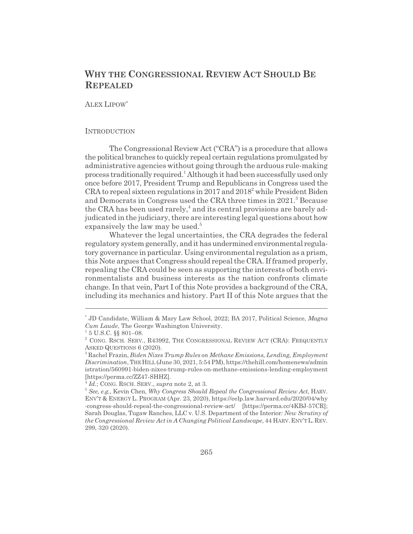# **WHY THE CONGRESSIONAL REVIEW ACT SHOULD BE REPEALED**

ALEX LIPOW\*

#### **INTRODUCTION**

The Congressional Review Act ("CRA") is a procedure that allows the political branches to quickly repeal certain regulations promulgated by administrative agencies without going through the arduous rule-making process traditionally required.<sup>1</sup> Although it had been successfully used only once before 2017, President Trump and Republicans in Congress used the CRA to repeal sixteen regulations in 2017 and 2018<sup>2</sup> while President Biden and Democrats in Congress used the CRA three times in 2021.<sup>3</sup> Because the CRA has been used rarely,<sup>4</sup> and its central provisions are barely adjudicated in the judiciary, there are interesting legal questions about how expansively the law may be used.<sup>5</sup>

Whatever the legal uncertainties, the CRA degrades the federal regulatory system generally, and it has undermined environmental regulatory governance in particular. Using environmental regulation as a prism, this Note argues that Congress should repeal the CRA. If framed properly, repealing the CRA could be seen as supporting the interests of both environmentalists and business interests as the nation confronts climate change. In that vein, Part I of this Note provides a background of the CRA, including its mechanics and history. Part II of this Note argues that the

<sup>\*</sup> JD Candidate, William & Mary Law School, 2022; BA 2017, Political Science, *Magna Cum Laude*, The George Washington University.

 $1\,5$  U.S.C. §§ 801–08.

<sup>&</sup>lt;sup>2</sup> CONG. RSCH. SERV., R43992, THE CONGRESSIONAL REVIEW ACT (CRA): FREQUENTLY ASKED QUESTIONS 6 (2020).

<sup>3</sup> Rachel Frazin, *Biden Nixes Trump Rules on Methane Emissions, Lending, Employment Discrimination*, THEHILL (June 30, 2021, 5:54 PM), https://thehill.com/homenews/admin istration/560991-biden-nixes-trump-rules-on-methane-emissions-lending-employment [https://perma.cc/ZZ47-SHHZ].

<sup>4</sup> *Id.*; CONG. RSCH. SERV., *supra* note 2, at 3.

<sup>5</sup> *See, e.g.*, Kevin Chen, *Why Congress Should Repeal the Congressional Review Act*, HARV. ENV'T & ENERGY L. PROGRAM (Apr. 23, 2020), https://eelp.law.harvard.edu/2020/04/why -congress-should-repeal-the-congressional-review-act/ [https://perma.cc/4KBJ-57CR]; Sarah Douglas, Tugaw Ranches, LLC v. U.S. Department of the Interior*: New Scrutiny of the Congressional Review Act in A Changing Political Landscape*, 44 HARV.ENV'TL.REV. 299, 320 (2020).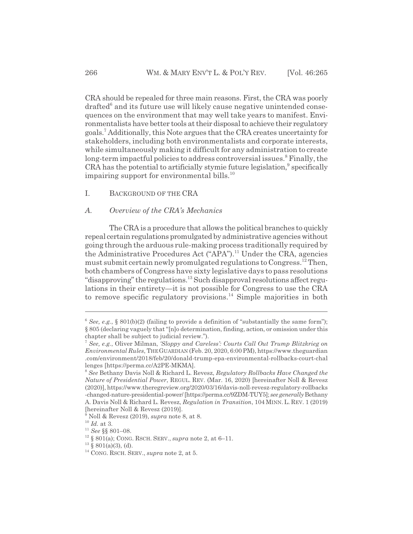CRA should be repealed for three main reasons. First, the CRA was poorly drafted<sup>6</sup> and its future use will likely cause negative unintended consequences on the environment that may well take years to manifest. Environmentalists have better tools at their disposal to achieve their regulatory goals.7 Additionally, this Note argues that the CRA creates uncertainty for stakeholders, including both environmentalists and corporate interests, while simultaneously making it difficult for any administration to create long-term impactful policies to address controversial issues.<sup>8</sup> Finally, the CRA has the potential to artificially stymie future legislation,<sup>9</sup> specifically impairing support for environmental bills. $^{10}$ 

I. BACKGROUND OF THE CRA

#### *A. Overview of the CRA's Mechanics*

The CRA is a procedure that allows the political branches to quickly repeal certain regulations promulgated by administrative agencies without going through the arduous rule-making process traditionally required by the Administrative Procedures Act ("APA").<sup>11</sup> Under the CRA, agencies must submit certain newly promulgated regulations to Congress.<sup>12</sup> Then, both chambers of Congress have sixty legislative days to pass resolutions "disapproving" the regulations.<sup>13</sup> Such disapproval resolutions affect regulations in their entirety—it is not possible for Congress to use the CRA to remove specific regulatory provisions.<sup>14</sup> Simple majorities in both

 $6$  *See, e.g.*, § 801(b)(2) (failing to provide a definition of "substantially the same form"); § 805 (declaring vaguely that "[n]o determination, finding, action, or omission under this chapter shall be subject to judicial review.").

<sup>7</sup> *See, e.g.*, Oliver Milman, *'Sloppy and Careless': Courts Call Out Trump Blitzkrieg on Environmental Rules*, THEGUARDIAN (Feb. 20, 2020, 6:00 PM), https://www.theguardian .com/environment/2018/feb/20/donald-trump-epa-environmental-rollbacks-court-chal lenges [https://perma.cc/A2PE-MKMA].

<sup>8</sup> *See* Bethany Davis Noll & Richard L. Revesz, *Regulatory Rollbacks Have Changed the Nature of Presidential Power*, REGUL. REV. (Mar. 16, 2020) [hereinafter Noll & Revesz (2020)], https://www.theregreview.org/2020/03/16/davis-noll-revesz-regulatory-rollbacks -changed-nature-presidential-power/ [https://perma.cc/9ZDM-TUY5]; *see generally* Bethany A. Davis Noll & Richard L. Revesz, *Regulation in Transition*, 104 MINN. L. REV. 1 (2019) [hereinafter Noll & Revesz (2019)].

<sup>9</sup> Noll & Revesz (2019), *supra* note 8, at 8.

 $^{10}$   $\emph{Id.}$  at 3.

<sup>11</sup> *See* §§ 801–08.

<sup>12 § 801(</sup>a); CONG. RSCH. SERV., *supra* note 2, at 6–11.

 $13\,$  § 801(a)(3), (d).

<sup>14</sup> CONG. RSCH. SERV., *supra* note 2, at 5.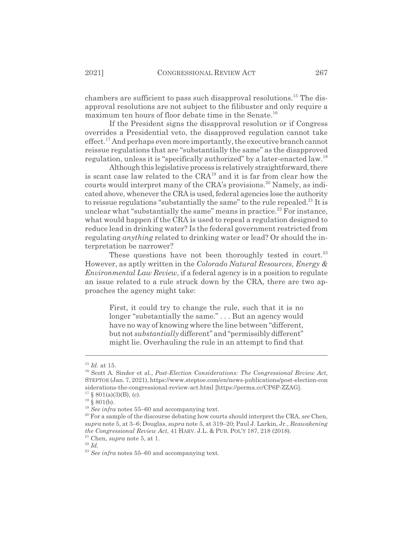chambers are sufficient to pass such disapproval resolutions.15 The disapproval resolutions are not subject to the filibuster and only require a maximum ten hours of floor debate time in the Senate.16

If the President signs the disapproval resolution or if Congress overrides a Presidential veto, the disapproved regulation cannot take effect.<sup>17</sup> And perhaps even more importantly, the executive branch cannot reissue regulations that are "substantially the same" as the disapproved regulation, unless it is "specifically authorized" by a later-enacted law.<sup>18</sup>

Although this legislative process is relatively straightforward, there is scant case law related to the CRA19 and it is far from clear how the courts would interpret many of the CRA's provisions.<sup>20</sup> Namely, as indicated above, whenever the CRA is used, federal agencies lose the authority to reissue regulations "substantially the same" to the rule repealed.<sup>21</sup> It is unclear what "substantially the same" means in practice.<sup>22</sup> For instance, what would happen if the CRA is used to repeal a regulation designed to reduce lead in drinking water? Is the federal government restricted from regulating *anything* related to drinking water or lead? Or should the interpretation be narrower?

These questions have not been thoroughly tested in court.<sup>23</sup> However, as aptly written in the *Colorado Natural Resources, Energy & Environmental Law Review*, if a federal agency is in a position to regulate an issue related to a rule struck down by the CRA, there are two approaches the agency might take:

First, it could try to change the rule, such that it is no longer "substantially the same." . . . But an agency would have no way of knowing where the line between "different, but not *substantially* different" and "permissibly different" might lie. Overhauling the rule in an attempt to find that

<sup>15</sup> *Id.* at 15.

<sup>16</sup> Scott A. Sinder et al., *Post-Election Considerations: The Congressional Review Act*, STEPTOE (Jan. 7, 2021), https://www.steptoe.com/en/news-publications/post-election-con siderations-the-congressional-review-act.html [https://perma.cc/CP6P-ZZAG].

 $17 \S$  801(a)(3)(B), (c).

 $18 \times 801(b)$ .

<sup>&</sup>lt;sup>19</sup> See infra notes 55–60 and accompanying text.

<sup>20</sup> For a sample of the discourse debating how courts should interpret the CRA, *see* Chen, *supra* note 5, at 3–6; Douglas, *supra* note 5, at 319–20; Paul J. Larkin, Jr., *Reawakening the Congressional Review Act*, 41 HARV. J.L. & PUB. POL'Y 187, 218 (2018).

<sup>21</sup> Chen, *supra* note 5, at 1.

<sup>22</sup> *Id.*

<sup>23</sup> *See infra* notes 55–60 and accompanying text.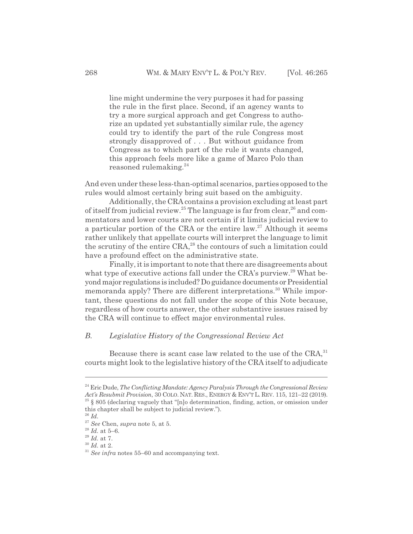line might undermine the very purposes it had for passing the rule in the first place. Second, if an agency wants to try a more surgical approach and get Congress to authorize an updated yet substantially similar rule, the agency could try to identify the part of the rule Congress most strongly disapproved of . . . But without guidance from Congress as to which part of the rule it wants changed, this approach feels more like a game of Marco Polo than reasoned rulemaking.<sup>24</sup>

And even under these less-than-optimal scenarios, parties opposed to the rules would almost certainly bring suit based on the ambiguity.

Additionally, the CRA contains a provision excluding at least part of itself from judicial review.<sup>25</sup> The language is far from clear,<sup>26</sup> and commentators and lower courts are not certain if it limits judicial review to a particular portion of the CRA or the entire law.<sup>27</sup> Although it seems rather unlikely that appellate courts will interpret the language to limit the scrutiny of the entire CRA,<sup>28</sup> the contours of such a limitation could have a profound effect on the administrative state.

Finally, it is important to note that there are disagreements about what type of executive actions fall under the CRA's purview.<sup>29</sup> What beyond major regulations is included? Do guidance documents or Presidential memoranda apply? There are different interpretations.<sup>30</sup> While important, these questions do not fall under the scope of this Note because, regardless of how courts answer, the other substantive issues raised by the CRA will continue to effect major environmental rules.

### *B. Legislative History of the Congressional Review Act*

Because there is scant case law related to the use of the CRA,<sup>31</sup> courts might look to the legislative history of the CRA itself to adjudicate

<sup>24</sup> Eric Dude, *The Conflicting Mandate: Agency Paralysis Through the Congressional Review Act's Resubmit Provision*, 30 COLO. NAT. RES., ENERGY & ENV'T L. REV. 115, 121–22 (2019). 25 § 805 (declaring vaguely that "[n]o determination, finding, action, or omission under this chapter shall be subject to judicial review.").

<sup>26</sup> *Id.*

<sup>27</sup> *See* Chen, *supra* note 5, at 5.

<sup>28</sup> *Id.* at 5–6.

 $29$  *Id.* at 7.

<sup>30</sup> *Id.* at 2.

<sup>31</sup> *See infra* notes 55–60 and accompanying text.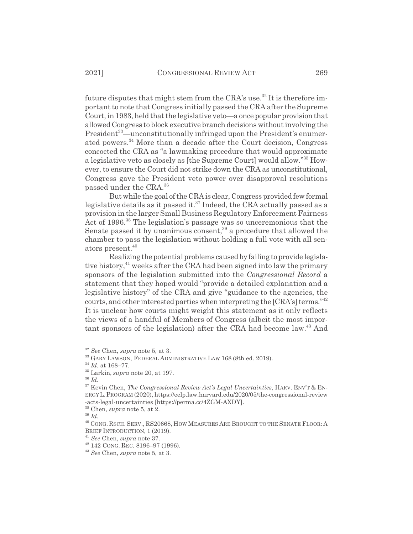future disputes that might stem from the CRA's use.<sup>32</sup> It is therefore important to note that Congress initially passed the CRA after the Supreme Court, in 1983, held that the legislative veto—a once popular provision that allowed Congress to block executive branch decisions without involving the President<sup>33</sup>—unconstitutionally infringed upon the President's enumerated powers.<sup>34</sup> More than a decade after the Court decision, Congress concocted the CRA as "a lawmaking procedure that would approximate a legislative veto as closely as [the Supreme Court] would allow."35 However, to ensure the Court did not strike down the CRA as unconstitutional, Congress gave the President veto power over disapproval resolutions passed under the CRA.36

But while the goal of the CRA is clear, Congress provided few formal legislative details as it passed it.<sup>37</sup> Indeed, the CRA actually passed as a provision in the larger Small Business Regulatory Enforcement Fairness Act of 1996.<sup>38</sup> The legislation's passage was so unceremonious that the Senate passed it by unanimous consent,<sup>39</sup> a procedure that allowed the chamber to pass the legislation without holding a full vote with all senators present.<sup>40</sup>

Realizing the potential problems caused by failing to provide legislative history, $41$  weeks after the CRA had been signed into law the primary sponsors of the legislation submitted into the *Congressional Record* a statement that they hoped would "provide a detailed explanation and a legislative history" of the CRA and give "guidance to the agencies, the courts, and other interested parties when interpreting the [CRA's] terms."42 It is unclear how courts might weight this statement as it only reflects the views of a handful of Members of Congress (albeit the most important sponsors of the legislation) after the CRA had become law.<sup>43</sup> And

<sup>32</sup> *See* Chen, *supra* note 5, at 3.

<sup>&</sup>lt;sup>33</sup> GARY LAWSON, FEDERAL ADMINISTRATIVE LAW 168 (8th ed. 2019).

<sup>34</sup> *Id.* at 168–77.

<sup>35</sup> Larkin, *supra* note 20, at 197.

<sup>36</sup> *Id.*

<sup>37</sup> Kevin Chen, *The Congressional Review Act's Legal Uncertainties*, HARV. ENV'T & EN-ERGY L.PROGRAM (2020), https://eelp.law.harvard.edu/2020/05/the-congressional-review -acts-legal-uncertainties [https://perma.cc/4ZGM-AXDY].

<sup>38</sup> Chen, *supra* note 5, at 2.

<sup>39</sup> *Id.*

 $^{40}$  CONG. RSCH. SERV., RS20668, HOW MEASURES ARE BROUGHT TO THE SENATE FLOOR: A BRIEF INTRODUCTION, 1 (2019).

<sup>41</sup> *See* Chen, *supra* note 37.

<sup>42 142</sup> CONG. REC. 8196–97 (1996).

<sup>43</sup> *See* Chen, *supra* note 5, at 3.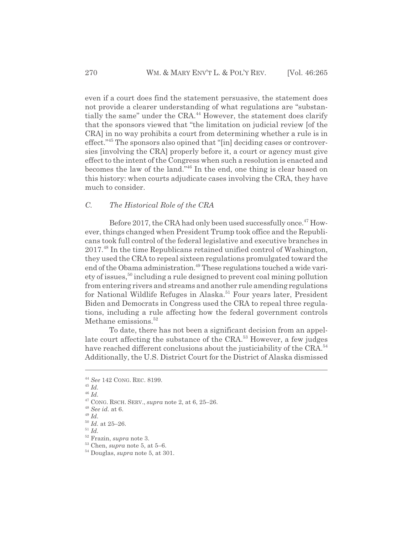even if a court does find the statement persuasive, the statement does not provide a clearer understanding of what regulations are "substantially the same" under the CRA.<sup>44</sup> However, the statement does clarify that the sponsors viewed that "the limitation on judicial review [of the CRA] in no way prohibits a court from determining whether a rule is in effect."45 The sponsors also opined that "[in] deciding cases or controversies [involving the CRA] properly before it, a court or agency must give effect to the intent of the Congress when such a resolution is enacted and becomes the law of the land."46 In the end, one thing is clear based on this history: when courts adjudicate cases involving the CRA, they have much to consider.

#### *C. The Historical Role of the CRA*

Before 2017, the CRA had only been used successfully once.<sup>47</sup> However, things changed when President Trump took office and the Republicans took full control of the federal legislative and executive branches in 2017.48 In the time Republicans retained unified control of Washington, they used the CRA to repeal sixteen regulations promulgated toward the end of the Obama administration.<sup>49</sup> These regulations touched a wide variety of issues,50 including a rule designed to prevent coal mining pollution from entering rivers and streams and another rule amending regulations for National Wildlife Refuges in Alaska.<sup>51</sup> Four years later, President Biden and Democrats in Congress used the CRA to repeal three regulations, including a rule affecting how the federal government controls Methane emissions.<sup>52</sup>

To date, there has not been a significant decision from an appellate court affecting the substance of the CRA.<sup>53</sup> However, a few judges have reached different conclusions about the justiciability of the CRA.<sup>54</sup> Additionally, the U.S. District Court for the District of Alaska dismissed

<sup>44</sup> *See* 142 CONG. REC. 8199.

<sup>45</sup> *Id.*

<sup>46</sup> *Id.*

<sup>47</sup> CONG. RSCH. SERV., *supra* note 2, at 6, 25–26.

<sup>48</sup> *See id.* at 6.

<sup>49</sup> *Id.*

 $\frac{50}{1}$ *Id.* at 25–26.

<sup>51</sup> *Id.*

<sup>52</sup> Frazin, *supra* note 3.

 $53$  Chen, *supra* note 5, at 5–6.

<sup>54</sup> Douglas, *supra* note 5, at 301.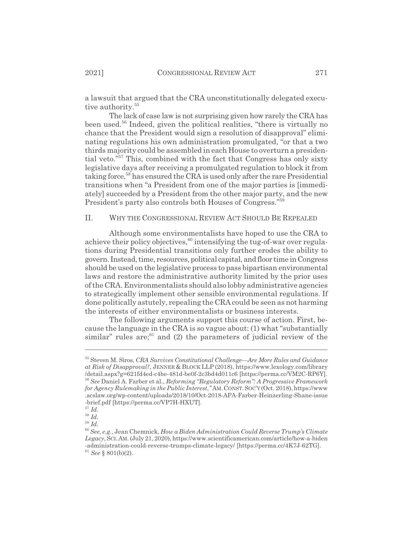a lawsuit that argued that the CRA unconstitutionally delegated executive authority.<sup>55</sup>

The lack of case law is not surprising given how rarely the CRA has been used.56 Indeed, given the political realities, "there is virtually no chance that the President would sign a resolution of disapproval" eliminating regulations his own administration promulgated, "or that a two thirds majority could be assembled in each House to overturn a presidential veto."57 This, combined with the fact that Congress has only sixty legislative days after receiving a promulgated regulation to block it from taking force,<sup>58</sup> has ensured the CRA is used only after the rare Presidential transitions when "a President from one of the major parties is [immediately] succeeded by a President from the other major party, and the new President's party also controls both Houses of Congress."59

#### II. WHY THE CONGRESSIONAL REVIEW ACT SHOULD BE REPEALED

Although some environmentalists have hoped to use the CRA to achieve their policy objectives,<sup>60</sup> intensifying the tug-of-war over regulations during Presidential transitions only further erodes the ability to govern. Instead, time, resources, political capital, and floor time in Congress should be used on the legislative process to pass bipartisan environmental laws and restore the administrative authority limited by the prior uses of the CRA. Environmentalists should also lobby administrative agencies to strategically implement other sensible environmental regulations. If done politically astutely, repealing the CRA could be seen as not harming the interests of either environmentalists or business interests.

The following arguments support this course of action. First, because the language in the CRA is so vague about: (1) what "substantially similar" rules are; $61$  and (2) the parameters of judicial review of the

<sup>55</sup> Steven M. Siros, *CRA Survives Constitutional Challenge—Are More Rules and Guidance at Risk of Disapproval?*, JENNER & BLOCK LLP (2018), https://www.lexology.com/library /detail.aspx?g=621fd4ed-c4be-481d-be0f-2c3bd4d011c6 [https://perma.cc/VM2C-RP6Y]. <sup>56</sup> *See* Daniel A. Farber et al., *Reforming "Regulatory Reform": A Progressive Framework for Agency Rulemaking in the Public Interest,"* AM. CONST. SOC'Y (Oct. 2018), https://www .acslaw.org/wp-content/uploads/2018/10/Oct-2018-APA-Farber-Heinzerling-Shane-issue -brief.pdf [https://perma.cc/VP7H-HXUT].

<sup>57</sup> *Id.*

 $^{58}$  *Id.* 

<sup>59</sup> *Id.*

<sup>60</sup> *See, e.g.*, Jean Chemnick, *How a Biden Administration Could Reverse Trump's Climate Legacy*, SCI.AM. (July 21, 2020), https://www.scientificamerican.com/article/how-a-biden -administration-could-reverse-trumps-climate-legacy/ [https://perma.cc/4K7J-62TG]. <sup>61</sup> *See* § 801(b)(2).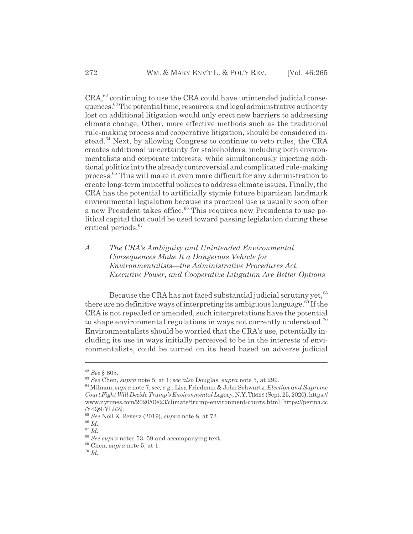$CRA<sub>1</sub><sup>62</sup>$  continuing to use the CRA could have unintended judicial consequences.63 The potential time, resources, and legal administrative authority lost on additional litigation would only erect new barriers to addressing climate change. Other, more effective methods such as the traditional rule-making process and cooperative litigation, should be considered instead.<sup>64</sup> Next, by allowing Congress to continue to veto rules, the CRA creates additional uncertainty for stakeholders, including both environmentalists and corporate interests, while simultaneously injecting additional politics into the already controversial and complicated rule-making process.65 This will make it even more difficult for any administration to create long-term impactful policies to address climate issues. Finally, the CRA has the potential to artificially stymie future bipartisan landmark environmental legislation because its practical use is usually soon after a new President takes office.<sup>66</sup> This requires new Presidents to use political capital that could be used toward passing legislation during these critical periods.67

*A. The CRA's Ambiguity and Unintended Environmental Consequences Make It a Dangerous Vehicle for Environmentalists—the Administrative Procedures Act, Executive Power, and Cooperative Litigation Are Better Options*

Because the CRA has not faced substantial judicial scrutiny yet,  $68$ there are no definitive ways of interpreting its ambiguous language.<sup>69</sup> If the CRA is not repealed or amended, such interpretations have the potential to shape environmental regulations in ways not currently understood.<sup>70</sup> Environmentalists should be worried that the CRA's use, potentially including its use in ways initially perceived to be in the interests of environmentalists, could be turned on its head based on adverse judicial

<sup>62</sup> *See* § 805.

<sup>63</sup> *See* Chen, *supra* note 5, at 1; *see also* Douglas, *supra* note 5, at 299.

<sup>64</sup> Milman, *supra* note 7; *see, e.g.*, Lisa Friedman & John Schwartz, *Election and Supreme Court Fight Will Decide Trump's Environmental Legacy*, N.Y.TIMES (Sept. 25, 2020), https:// www.nytimes.com/2020/09/23/climate/trump-environment-courts.html [https://perma.cc /Y4Q9-YLRZ].

<sup>65</sup> *See* Noll & Revesz (2019), *supra* note 8, at 72.

<sup>66</sup> *Id.*

<sup>67</sup> *Id.*

<sup>68</sup> *See supra* notes 53–59 and accompanying text.

<sup>69</sup> Chen, s*upra* note 5, at 1.

<sup>70</sup> *Id.*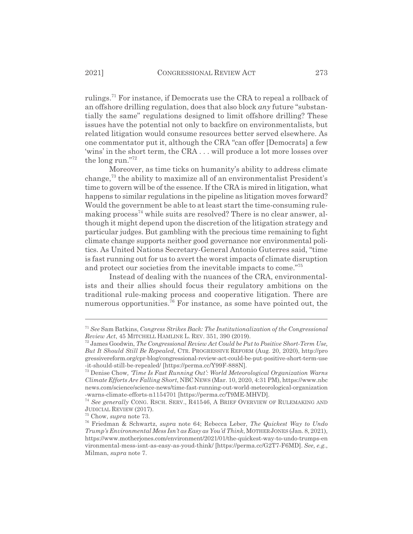rulings.<sup>71</sup> For instance, if Democrats use the CRA to repeal a rollback of an offshore drilling regulation, does that also block *any* future "substantially the same" regulations designed to limit offshore drilling? These issues have the potential not only to backfire on environmentalists, but related litigation would consume resources better served elsewhere. As one commentator put it, although the CRA "can offer [Democrats] a few 'wins' in the short term, the CRA . . . will produce a lot more losses over the long run."<sup>72</sup>

Moreover, as time ticks on humanity's ability to address climate change,73 the ability to maximize all of an environmentalist President's time to govern will be of the essence. If the CRA is mired in litigation, what happens to similar regulations in the pipeline as litigation moves forward? Would the government be able to at least start the time-consuming rulemaking process<sup>74</sup> while suits are resolved? There is no clear answer, although it might depend upon the discretion of the litigation strategy and particular judges. But gambling with the precious time remaining to fight climate change supports neither good governance nor environmental politics. As United Nations Secretary-General Antonio Guterres said, "time is fast running out for us to avert the worst impacts of climate disruption and protect our societies from the inevitable impacts to come."<sup>75</sup>

Instead of dealing with the nuances of the CRA, environmentalists and their allies should focus their regulatory ambitions on the traditional rule-making process and cooperative litigation. There are numerous opportunities.<sup>76</sup> For instance, as some have pointed out, the

<sup>71</sup> *See* Sam Batkins, *Congress Strikes Back: The Institutionalization of the Congressional Review Act*, 45 MITCHELL HAMLINE L. REV. 351, 390 (2019).

<sup>72</sup> James Goodwin, *The Congressional Review Act Could be Put to Positive Short-Term Use, But It Should Still Be Repealed*, CTR. PROGRESSIVE REFORM (Aug. 20, 2020), http://pro gressivereform.org/cpr-blog/congressional-review-act-could-be-put-positive-short-term-use -it-should-still-be-repealed/ [https://perma.cc/Y99F-888N].

<sup>73</sup> Denise Chow*, 'Time Is Fast Running Out': World Meteorological Organization Warns Climate Efforts Are Falling Short*, NBCNEWS (Mar. 10, 2020, 4:31 PM), https://www.nbc news.com/science/science-news/time-fast-running-out-world-meteorological-organization -warns-climate-efforts-n1154701 [https://perma.cc/T9ME-MHVD].

<sup>74</sup> *See generally* CONG. RSCH. SERV., R41546, A BRIEF OVERVIEW OF RULEMAKING AND JUDICIAL REVIEW (2017).

<sup>75</sup> Chow, *supra* note 73.

<sup>76</sup> Friedman & Schwartz, *supra* note 64; Rebecca Leber, *The Quickest Way to Undo Trump's Environmental Mess Isn't as Easy as You'd Think*, MOTHERJONES (Jan. 8, 2021), https://www.motherjones.com/environment/2021/01/the-quickest-way-to-undo-trumps-en vironmental-mess-isnt-as-easy-as-youd-think/ [https://perma.cc/G2T7-F6MD]. *See, e.g.*, Milman, *supra* note 7.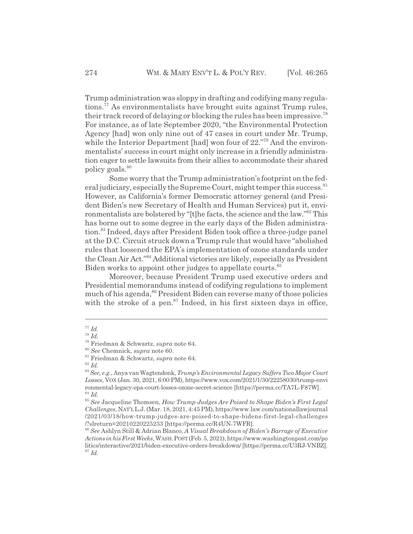Trump administration was sloppy in drafting and codifying many regulations.77 As environmentalists have brought suits against Trump rules, their track record of delaying or blocking the rules has been impressive.<sup>78</sup> For instance, as of late September 2020, "the Environmental Protection Agency [had] won only nine out of 47 cases in court under Mr. Trump, while the Interior Department [had] won four of 22."<sup>79</sup> And the environmentalists' success in court might only increase in a friendly administration eager to settle lawsuits from their allies to accommodate their shared policy goals.<sup>80</sup>

Some worry that the Trump administration's footprint on the federal judiciary, especially the Supreme Court, might temper this success.<sup>81</sup> However, as California's former Democratic attorney general (and President Biden's new Secretary of Health and Human Services) put it, environmentalists are bolstered by "[t]he facts, the science and the law."<sup>82</sup> This has borne out to some degree in the early days of the Biden administration.83 Indeed, days after President Biden took office a three-judge panel at the D.C. Circuit struck down a Trump rule that would have "abolished rules that loosened the EPA's implementation of ozone standards under the Clean Air Act."84 Additional victories are likely, especially as President Biden works to appoint other judges to appellate courts.<sup>85</sup>

Moreover, because President Trump used executive orders and Presidential memorandums instead of codifying regulations to implement much of his agenda,<sup>86</sup> President Biden can reverse many of those policies with the stroke of a pen. $87$  Indeed, in his first sixteen days in office,

<sup>77</sup> *Id.*

<sup>78</sup> *Id.*

<sup>79</sup> Friedman & Schwartz, *supra* note 64.

<sup>80</sup> *See* Chemnick, *supra* note 60.

<sup>81</sup> Friedman & Schwartz, *supra* note 64.

<sup>82</sup> *Id.*

<sup>83</sup> *See, e.g.*, Anya van Wagtendonk, *Trump's Environmental Legacy Suffers Two Major Court Losses*, VOX (Jan. 30, 2021, 6:00 PM), https://www.vox.com/2021/1/30/22258030/trump-envi ronmental-legacy-epa-court-losses-ozone-secret-science [https://perma.cc/TA7L-F87W]. <sup>84</sup> *Id.*

<sup>85</sup> *See* Jacqueline Thomsen, *How Trump Judges Are Poised to Shape Biden's First Legal Challenges*, NAT'LL.J. (Mar. 18, 2021, 4:45 PM), https://www.law.com/nationallawjournal /2021/03/18/how-trump-judges-are-poised-to-shape-bidens-first-legal-challenges /?slreturn=20210220225233 [https://perma.cc/R4UN-7WFR].

<sup>86</sup> *See* Ashlyn Still & Adrian Blanco, *A Visual Breakdown of Biden's Barrage of Executive Actions in his First Weeks*, WASH.POST (Feb. 5, 2021), https://www.washingtonpost.com/po litics/interactive/2021/biden-executive-orders-breakdown/ [https://perma.cc/U3RJ-VNBZ]. <sup>87</sup> *Id.*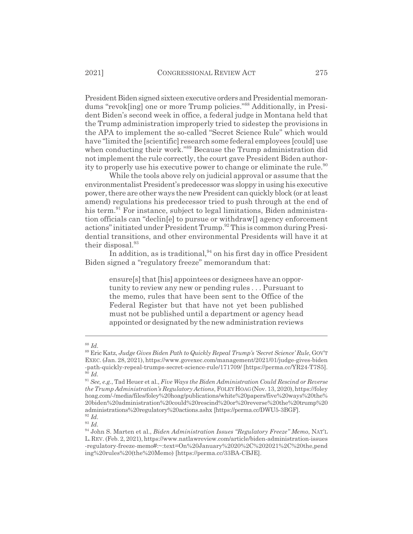President Biden signed sixteen executive orders and Presidential memorandums "revok[ing] one or more Trump policies."88 Additionally, in President Biden's second week in office, a federal judge in Montana held that the Trump administration improperly tried to sidestep the provisions in the APA to implement the so-called "Secret Science Rule" which would have "limited the [scientific] research some federal employees [could] use when conducting their work."<sup>89</sup> Because the Trump administration did not implement the rule correctly, the court gave President Biden authority to properly use his executive power to change or eliminate the rule.<sup>90</sup>

While the tools above rely on judicial approval or assume that the environmentalist President's predecessor was sloppy in using his executive power, there are other ways the new President can quickly block (or at least amend) regulations his predecessor tried to push through at the end of his term.<sup>91</sup> For instance, subject to legal limitations, Biden administration officials can "declin[e] to pursue or withdraw[] agency enforcement actions" initiated under President Trump.<sup>92</sup> This is common during Presidential transitions, and other environmental Presidents will have it at their disposal.<sup>93</sup>

In addition, as is traditional,  $94$  on his first day in office President Biden signed a "regulatory freeze" memorandum that:

ensure[s] that [his] appointees or designees have an opportunity to review any new or pending rules . . . Pursuant to the memo, rules that have been sent to the Office of the Federal Register but that have not yet been published must not be published until a department or agency head appointed or designated by the new administration reviews

<sup>88</sup> *Id.*

<sup>89</sup> Eric Katz, *Judge Gives Biden Path to Quickly Repeal Trump's 'Secret Science' Rule*, GOV'T EXEC. (Jan. 28, 2021), https://www.govexec.com/management/2021/01/judge-gives-biden -path-quickly-repeal-trumps-secret-science-rule/171709/ [https://perma.cc/YR24-T7S5].  $9\overline{0}$  *Id.* 

<sup>91</sup> *See, e.g.*, Tad Heuer et al., *Five Ways the Biden Administration Could Rescind or Reverse the Trump Administration's Regulatory Actions*, FOLEYHOAG (Nov. 13, 2020),https://foley hoag.com/-/media/files/foley%20hoag/publications/white%20papers/five%20ways%20the% 20biden%20administration%20could%20rescind%20or%20reverse%20the%20trump%20 administrations%20regulatory%20actions.ashx [https://perma.cc/DWU5-3BGF]. <sup>92</sup> *Id.*

 $\frac{93}{1}$   $\frac{100}{1}$ 

<sup>94</sup> John S. Marten et al., *Biden Administration Issues "Regulatory Freeze" Memo*, NAT'L L.REV. (Feb. 2, 2021), https://www.natlawreview.com/article/biden-administration-issues -regulatory-freeze-memo#:~:text=On%20January%2020%2C%202021%2C%20the,pend ing%20rules%20(the%20Memo) [https://perma.cc/33BA-CBJE].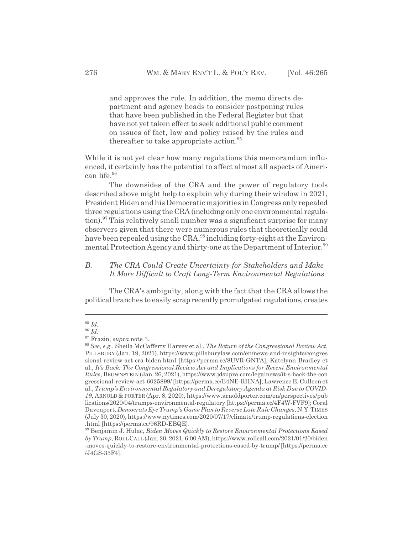and approves the rule. In addition, the memo directs department and agency heads to consider postponing rules that have been published in the Federal Register but that have not yet taken effect to seek additional public comment on issues of fact, law and policy raised by the rules and thereafter to take appropriate action.<sup>95</sup>

While it is not yet clear how many regulations this memorandum influenced, it certainly has the potential to affect almost all aspects of American life.96

The downsides of the CRA and the power of regulatory tools described above might help to explain why during their window in 2021, President Biden and his Democratic majorities in Congress only repealed three regulations using the CRA (including only one environmental regulation).<sup>97</sup> This relatively small number was a significant surprise for many observers given that there were numerous rules that theoretically could have been repealed using the CRA,<sup>98</sup> including forty-eight at the Environmental Protection Agency and thirty-one at the Department of Interior.<sup>99</sup>

### *B. The CRA Could Create Uncertainty for Stakeholders and Make It More Difficult to Craft Long-Term Environmental Regulations*

The CRA's ambiguity, along with the fact that the CRA allows the political branches to easily scrap recently promulgated regulations, creates

<sup>95</sup> *Id.*

<sup>96</sup> *Id.*

<sup>97</sup> Frazin, *supra* note 3.

<sup>98</sup> *See, e.g.*, Sheila McCafferty Harvey et al., *The Return of the Congressional Review Act*, PILLSBURY (Jan. 19, 2021), https://www.pillsburylaw.com/en/news-and-insights/congres sional-review-act-cra-biden.html [https://perma.cc/8UVR-GNTA]; Katelynn Bradley et al., *It's Back: The Congressional Review Act and Implications for Recent Environmental Rules*, BROWNSTEIN (Jan. 26, 2021), https://www.jdsupra.com/legalnews/it-s-back-the-con gressional-review-act-6025899/ [https://perma.cc/E4NE-RHNA]; Lawrence E. Culleen et al., *Trump's Environmental Regulatory and Deregulatory Agenda at Risk Due to COVID-19*, ARNOLD & PORTER (Apr. 8, 2020), https://www.arnoldporter.com/en/perspectives/pub lications/2020/04/trumps-environmental-regulatory [https://perma.cc/4F4W-FVF9]; Coral Davenport, *Democrats Eye Trump's Game Plan to Reverse Late Rule Changes*, N.Y.TIMES (July 30, 2020), https://www.nytimes.com/2020/07/17/climate/trump-regulations-election .html [https://perma.cc/96RD-EBQE].

<sup>99</sup> Benjamin J. Hulac, *Biden Moves Quickly to Restore Environmental Protections Eased by Trump*, ROLLCALL (Jan. 20, 2021, 6:00 AM), https://www.rollcall.com/2021/01/20/biden -moves-quickly-to-restore-environmental-protections-eased-by-trump/ [https://perma.cc /J4GS-35F4].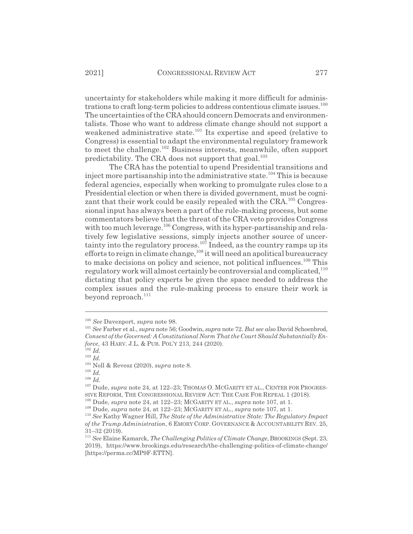uncertainty for stakeholders while making it more difficult for administrations to craft long-term policies to address contentious climate issues.<sup>100</sup> The uncertainties of the CRA should concern Democrats and environmentalists. Those who want to address climate change should not support a weakened administrative state.<sup>101</sup> Its expertise and speed (relative to Congress) is essential to adapt the environmental regulatory framework to meet the challenge.<sup>102</sup> Business interests, meanwhile, often support predictability. The CRA does not support that goal.<sup>103</sup>

The CRA has the potential to upend Presidential transitions and inject more partisanship into the administrative state.<sup>104</sup> This is because federal agencies, especially when working to promulgate rules close to a Presidential election or when there is divided government, must be cognizant that their work could be easily repealed with the CRA.<sup>105</sup> Congressional input has always been a part of the rule-making process, but some commentators believe that the threat of the CRA veto provides Congress with too much leverage.<sup>106</sup> Congress, with its hyper-partisanship and relatively few legislative sessions, simply injects another source of uncertainty into the regulatory process.<sup>107</sup> Indeed, as the country ramps up its efforts to reign in climate change, <sup>108</sup> it will need an apolitical bureaucracy to make decisions on policy and science, not political influences.<sup>109</sup> This regulatory work will almost certainly be controversial and complicated,<sup>110</sup> dictating that policy experts be given the space needed to address the complex issues and the rule-making process to ensure their work is beyond reproach.<sup>111</sup>

<sup>106</sup> *Id.*

<sup>100</sup> *See* Davenport, *supra* note 98.

<sup>101</sup> *See* Farber et al., *supra* note 56; Goodwin, *supra* note 72. *But see also* David Schoenbrod, *Consent of the Governed: A Constitutional Norm That the Court Should Substantially Enforce*, 43 HARV. J.L. & PUB. POL'Y 213, 244 (2020).

<sup>102</sup> *Id.*

<sup>103</sup> *Id.*

<sup>104</sup> Noll & Revesz (2020), *supra* note 8.

<sup>105</sup> *Id.*

<sup>&</sup>lt;sup>107</sup> Dude, *supra* note 24, at 122-23; THOMAS O. MCGARITY ET AL., CENTER FOR PROGRES-SIVE REFORM, THE CONGRESSIONAL REVIEW ACT: THE CASE FOR REPEAL 1 (2018).

<sup>108</sup> Dude, *supra* note 24, at 122–23; MCGARITY ET AL., *supra* note 107, at 1.

<sup>109</sup> Dude, *supra* note 24, at 122–23; MCGARITY ET AL., *supra* note 107, at 1.

<sup>110</sup> *See* Kathy Wagner Hill, *The State of the Administrative State: The Regulatory Impact of the Trump Administration*, 6 EMORY CORP. GOVERNANCE & ACCOUNTABILITY REV. 25, 31–32 (2019).

<sup>&</sup>lt;sup>111</sup> See Elaine Kamarck, *The Challenging Politics of Climate Change*, BROOKINGS (Sept. 23, 2019), https://www.brookings.edu/research/the-challenging-politics-of-climate-change/ [https://perma.cc/MP9F-ETTN].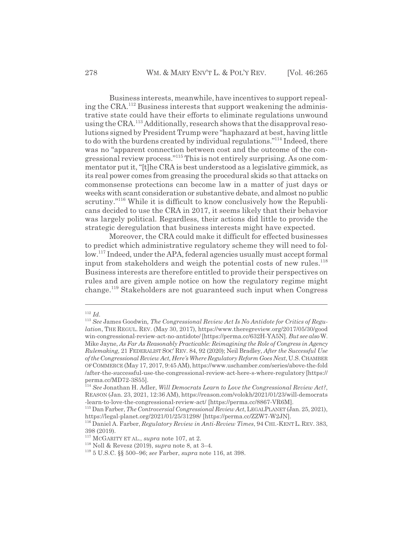Business interests, meanwhile, have incentives to support repealing the CRA.112 Business interests that support weakening the administrative state could have their efforts to eliminate regulations unwound using the CRA.<sup>113</sup> Additionally, research shows that the disapproval resolutions signed by President Trump were "haphazard at best, having little to do with the burdens created by individual regulations."114 Indeed, there was no "apparent connection between cost and the outcome of the congressional review process."<sup>115</sup> This is not entirely surprising. As one commentator put it, "[t]he CRA is best understood as a legislative gimmick, as its real power comes from greasing the procedural skids so that attacks on commonsense protections can become law in a matter of just days or weeks with scant consideration or substantive debate, and almost no public scrutiny."<sup>116</sup> While it is difficult to know conclusively how the Republicans decided to use the CRA in 2017, it seems likely that their behavior was largely political. Regardless, their actions did little to provide the strategic deregulation that business interests might have expected.

Moreover, the CRA could make it difficult for effected businesses to predict which administrative regulatory scheme they will need to follow.<sup>117</sup> Indeed, under the APA, federal agencies usually must accept formal input from stakeholders and weigh the potential costs of new rules.<sup>118</sup> Business interests are therefore entitled to provide their perspectives on rules and are given ample notice on how the regulatory regime might change.119 Stakeholders are not guaranteed such input when Congress

<sup>112</sup> *Id.*

<sup>113</sup> *See* James Goodwin*, The Congressional Review Act Is No Antidote for Critics of Regulation*, THE REGUL. REV. (May 30, 2017), https://www.theregreview.org/2017/05/30/good win-congressional-review-act-no-antidote/ [https://perma.cc/632H-YA5N]*. But see also* W. Mike Jayne, *As Far As Reasonably Practicable: Reimagining the Role of Congress in Agency Rulemaking*, 21 FEDERALIST SOC' REV. 84, 92 (2020); Neil Bradley, *After the Successful Use of the Congressional Review Act, Here's Where Regulatory Reform Goes Next*, U.S. CHAMBER OFCOMMERCE (May 17, 2017, 9:45 AM), https://www.uschamber.com/series/above-the-fold /after-the-successful-use-the-congressional-review-act-here-s-where-regulatory [https:// perma.cc/MD72-3S55].

<sup>114</sup> *See* Jonathan H. Adler, *Will Democrats Learn to Love the Congressional Review Act?*, REASON (Jan. 23, 2021, 12:36 AM), https://reason.com/volokh/2021/01/23/will-democrats -learn-to-love-the-congressional-review-act/ [https://perma.cc/8867-VR6M].

<sup>115</sup> Dan Farber, *The Controversial Congressional Review Act*, LEGALPLANET (Jan. 25, 2021), https://legal-planet.org/2021/01/25/31298/ [https://perma.cc/ZZW7-W2JN].

<sup>116</sup> Daniel A. Farber, *Regulatory Review in Anti-Review Times*, 94 CHI.-KENT L. REV. 383, 398 (2019).

<sup>117</sup> MCGARITY ET AL., *supra* note 107, at 2.

<sup>118</sup> Noll & Revesz (2019), s*upra* note 8, at 3–4.

<sup>119 5</sup> U.S.C. §§ 500–96; *see* Farber, *supra* note 116, at 398.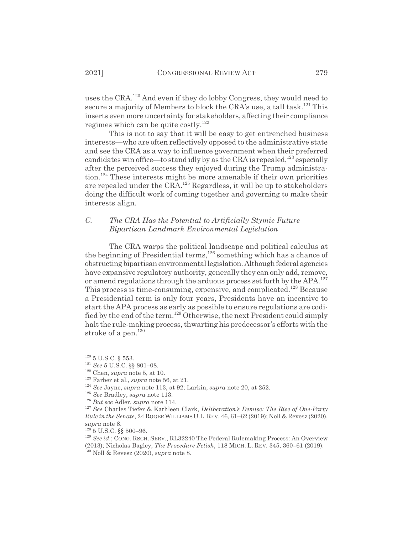uses the CRA.120 And even if they do lobby Congress, they would need to secure a majority of Members to block the CRA's use, a tall task.<sup>121</sup> This inserts even more uncertainty for stakeholders, affecting their compliance regimes which can be quite costly.122

This is not to say that it will be easy to get entrenched business interests—who are often reflectively opposed to the administrative state and see the CRA as a way to influence government when their preferred candidates win office—to stand idly by as the CRA is repealed,<sup>123</sup> especially after the perceived success they enjoyed during the Trump administra- $\mu$ <sub>124</sub> These interests might be more amenable if their own priorities are repealed under the CRA.125 Regardless, it will be up to stakeholders doing the difficult work of coming together and governing to make their interests align.

### *C. The CRA Has the Potential to Artificially Stymie Future Bipartisan Landmark Environmental Legislation*

The CRA warps the political landscape and political calculus at the beginning of Presidential terms,  $126$  something which has a chance of obstructing bipartisan environmental legislation. Although federal agencies have expansive regulatory authority, generally they can only add, remove, or amend regulations through the arduous process set forth by the APA.<sup>127</sup> This process is time-consuming, expensive, and complicated.<sup>128</sup> Because a Presidential term is only four years, Presidents have an incentive to start the APA process as early as possible to ensure regulations are codified by the end of the term.129 Otherwise, the next President could simply halt the rule-making process, thwarting his predecessor's efforts with the stroke of a pen. $130$ 

 $120$  5 U.S.C. § 553.

<sup>121</sup> *See* 5 U.S.C. §§ 801–08.

<sup>122</sup> Chen, *supra* note 5, at 10.

<sup>123</sup> Farber et al., *supra* note 56, at 21.

<sup>124</sup> *See* Jayne, *supra* note 113, at 92; Larkin, *supra* note 20, at 252.

<sup>125</sup> *See* Bradley, *supra* note 113.

<sup>126</sup> *But see* Adler, *supra* note 114.

<sup>127</sup> *See* Charles Tiefer & Kathleen Clark, *Deliberation's Demise: The Rise of One-Party Rule in the Senate*, 24 ROGER WILLIAMSU.L.REV. 46, 61–62 (2019); Noll & Revesz (2020), s*upra* note 8.

 $128$  5 U.S.C. §§ 500-96.

<sup>&</sup>lt;sup>129</sup> See id.; CONG. RSCH. SERV., RL32240 The Federal Rulemaking Process: An Overview (2013); Nicholas Bagley, *The Procedure Fetish*, 118 MICH. L. REV. 345, 360–61 (2019).

<sup>130</sup> Noll & Revesz (2020), *supra* note 8.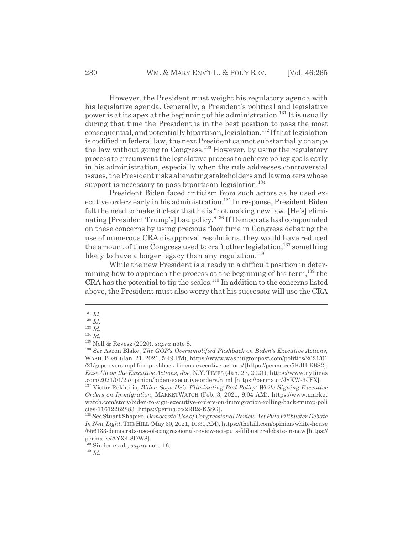However, the President must weight his regulatory agenda with his legislative agenda. Generally, a President's political and legislative power is at its apex at the beginning of his administration.<sup>131</sup> It is usually during that time the President is in the best position to pass the most  $\alpha$ consequential, and potentially bipartisan, legislation.<sup>132</sup> If that legislation is codified in federal law, the next President cannot substantially change the law without going to Congress.<sup>133</sup> However, by using the regulatory process to circumvent the legislative process to achieve policy goals early in his administration, especially when the rule addresses controversial issues, the President risks alienating stakeholders and lawmakers whose support is necessary to pass bipartisan legislation.<sup>134</sup>

President Biden faced criticism from such actors as he used executive orders early in his administration.<sup>135</sup> In response, President Biden felt the need to make it clear that he is "not making new law. [He's] eliminating [President Trump's] bad policy."136 If Democrats had compounded on these concerns by using precious floor time in Congress debating the use of numerous CRA disapproval resolutions, they would have reduced the amount of time Congress used to craft other legislation,  $^{137}$  something likely to have a longer legacy than any regulation.<sup>138</sup>

While the new President is already in a difficult position in determining how to approach the process at the beginning of his term,  $^{139}$  the  $CRA$  has the potential to tip the scales.<sup>140</sup> In addition to the concerns listed above, the President must also worry that his successor will use the CRA

<sup>131</sup> *Id.*

<sup>132</sup> *Id.*

<sup>133</sup> *Id.*

<sup>134</sup> *Id.*

<sup>135</sup> Noll & Revesz (2020), *supra* note 8.

<sup>136</sup> *See* Aaron Blake, *The GOP's Oversimplified Pushback on Biden's Executive Actions*, WASH. POST (Jan. 21, 2021, 5:49 PM), https://www.washingtonpost.com/politics/2021/01 /21/gops-oversimplified-pushback-bidens-executive-actions/ [https://perma.cc/5KJH-K9S2]; *Ease Up on the Executive Actions, Joe*, N.Y. TIMES (Jan. 27, 2021), https://www.nytimes .com/2021/01/27/opinion/biden-executive-orders.html [https://perma.cc/J8KW-3JFX].

<sup>137</sup> Victor Reklaitis, *Biden Says He's 'Eliminating Bad Policy' While Signing Executive Orders on Immigration*, MARKETWATCH (Feb. 3, 2021, 9:04 AM), https://www.market watch.com/story/biden-to-sign-executive-orders-on-immigration-rolling-back-trump-poli cies-11612282883 [https://perma.cc/2RR2-K5SG].

<sup>138</sup> *See* Stuart Shapiro, *Democrats' Use of Congressional Review Act Puts Filibuster Debate In New Light*, THE HILL (May 30, 2021, 10:30 AM), https://thehill.com/opinion/white-house /556133-democrats-use-of-congressional-review-act-puts-filibuster-debate-in-new [https:// perma.cc/AYX4-8DW8].

<sup>139</sup> Sinder et al., *supra* note 16.

<sup>140</sup> *Id.*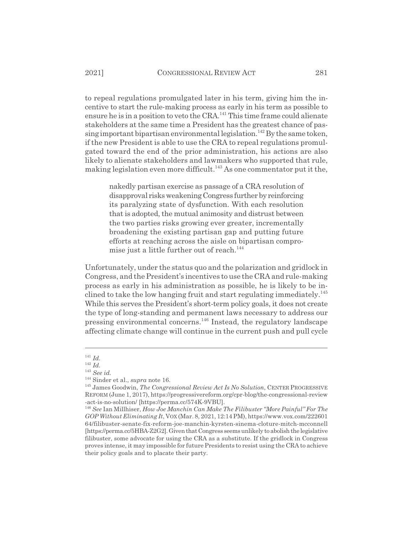to repeal regulations promulgated later in his term, giving him the incentive to start the rule-making process as early in his term as possible to ensure he is in a position to veto the  $CRA$ .<sup>141</sup> This time frame could alienate stakeholders at the same time a President has the greatest chance of passing important bipartisan environmental legislation.<sup>142</sup> By the same token, if the new President is able to use the CRA to repeal regulations promulgated toward the end of the prior administration, his actions are also likely to alienate stakeholders and lawmakers who supported that rule, making legislation even more difficult.<sup>143</sup> As one commentator put it the,

nakedly partisan exercise as passage of a CRA resolution of disapproval risks weakening Congress further by reinforcing its paralyzing state of dysfunction. With each resolution that is adopted, the mutual animosity and distrust between the two parties risks growing ever greater, incrementally broadening the existing partisan gap and putting future efforts at reaching across the aisle on bipartisan compromise just a little further out of reach.<sup>144</sup>

Unfortunately, under the status quo and the polarization and gridlock in Congress, and the President's incentives to use the CRA and rule-making process as early in his administration as possible, he is likely to be inclined to take the low hanging fruit and start regulating immediately.<sup>145</sup> While this serves the President's short-term policy goals, it does not create the type of long-standing and permanent laws necessary to address our pressing environmental concerns.146 Instead, the regulatory landscape affecting climate change will continue in the current push and pull cycle

<sup>141</sup> *Id.*

 $142 \overline{Id}$ .

<sup>143</sup> *See id.*

<sup>144</sup> Sinder et al., *supra* note 16.

<sup>145</sup> James Goodwin, *The Congressional Review Act Is No Solution*, CENTER PROGRESSIVE REFORM (June 1, 2017), https://progressivereform.org/cpr-blog/the-congressional-review -act-is-no-solution/ [https://perma.cc/574K-9VBU].

<sup>146</sup> *See* Ian Millhiser, *How Joe Manchin Can Make The Filibuster "More Painful" For The GOP Without Eliminating It*, VOX (Mar. 8, 2021, 12:14 PM), https://www.vox.com/222601 64/filibuster-senate-fix-reform-joe-manchin-kyrsten-sinema-cloture-mitch-mcconnell [https://perma.cc/5HBA-Z2G2]. Given that Congress seems unlikely to abolish the legislative filibuster, some advocate for using the CRA as a substitute. If the gridlock in Congress proves intense, it may impossible for future Presidents to resist using the CRA to achieve their policy goals and to placate their party.